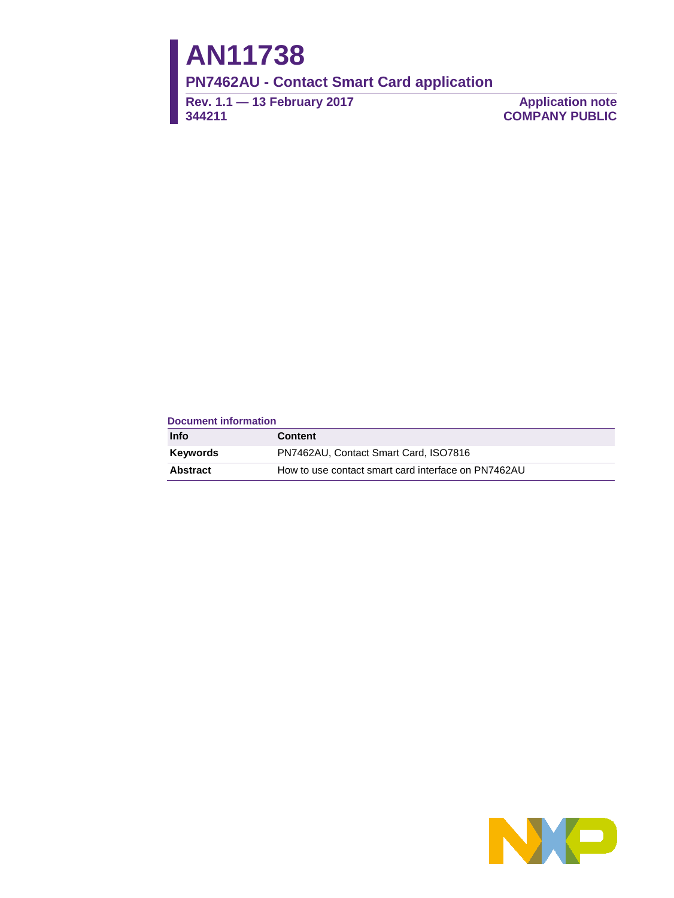# **AN11738**

**PN7462AU - Contact Smart Card application**

**Rev. 1.1 — 13 February 2017 344211**

**Application note COMPANY PUBLIC**

#### **Document information**

| <b>Info</b>     | <b>Content</b>                                      |
|-----------------|-----------------------------------------------------|
| <b>Keywords</b> | PN7462AU, Contact Smart Card, ISO7816               |
| <b>Abstract</b> | How to use contact smart card interface on PN7462AU |

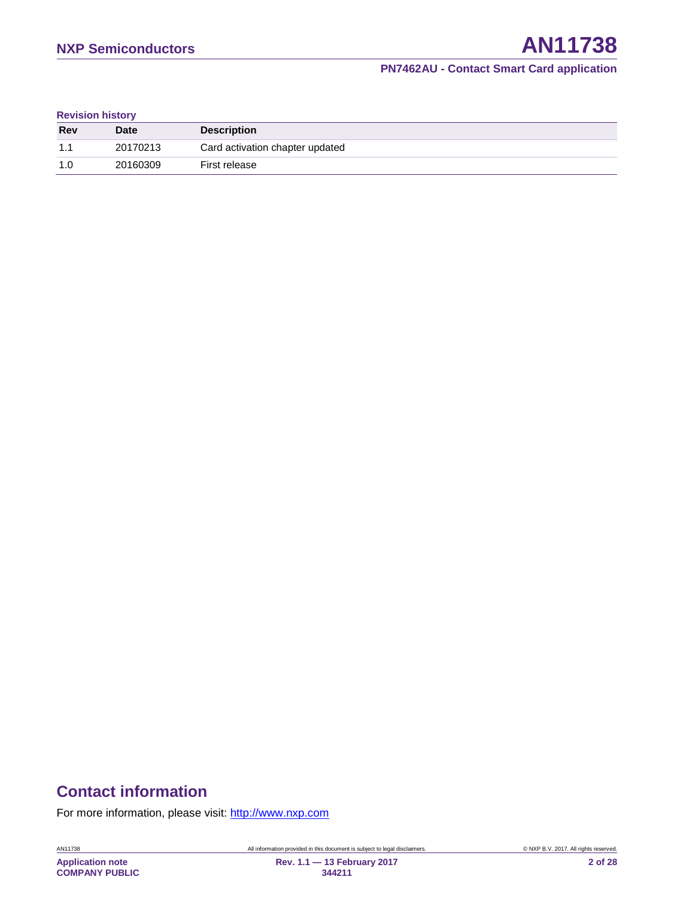#### **Revision history**

| <b>Rev</b> | <b>Date</b> | <b>Description</b>              |
|------------|-------------|---------------------------------|
| 1.1        | 20170213    | Card activation chapter updated |
| 1.0        | 20160309    | First release                   |

# **Contact information**

For more information, please visit: [http://www.nxp.com](http://www.nxp.com/)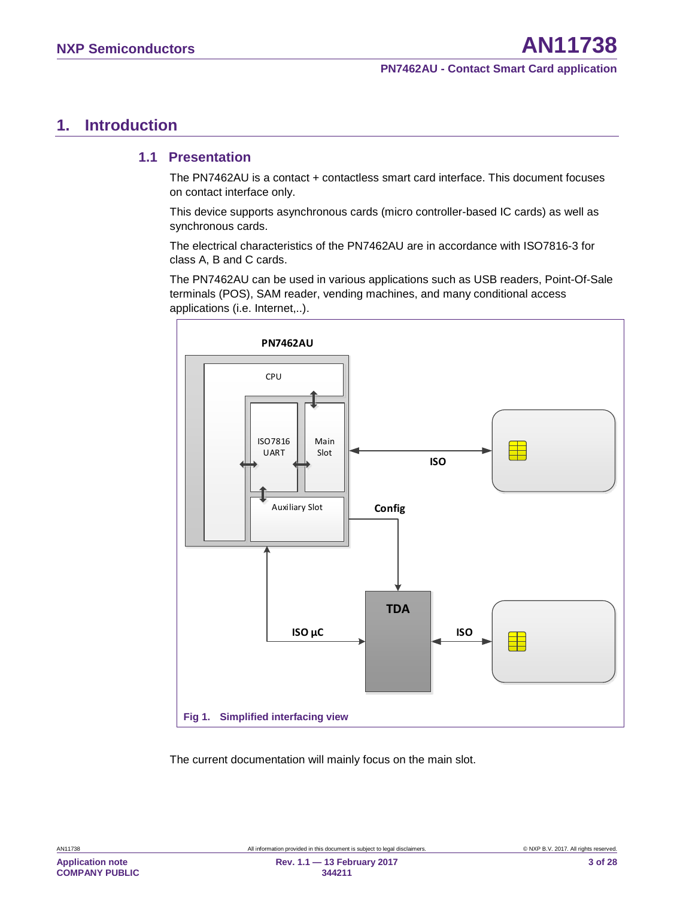# <span id="page-2-1"></span>**1. Introduction**

### <span id="page-2-2"></span>**1.1 Presentation**

The PN7462AU is a contact + contactless smart card interface. This document focuses on contact interface only.

This device supports asynchronous cards (micro controller-based IC cards) as well as synchronous cards.

The electrical characteristics of the PN7462AU are in accordance with ISO7816-3 for class A, B and C cards.

The PN7462AU can be used in various applications such as USB readers, Point-Of-Sale terminals (POS), SAM reader, vending machines, and many conditional access applications (i.e. Internet,..).



<span id="page-2-0"></span>The current documentation will mainly focus on the main slot.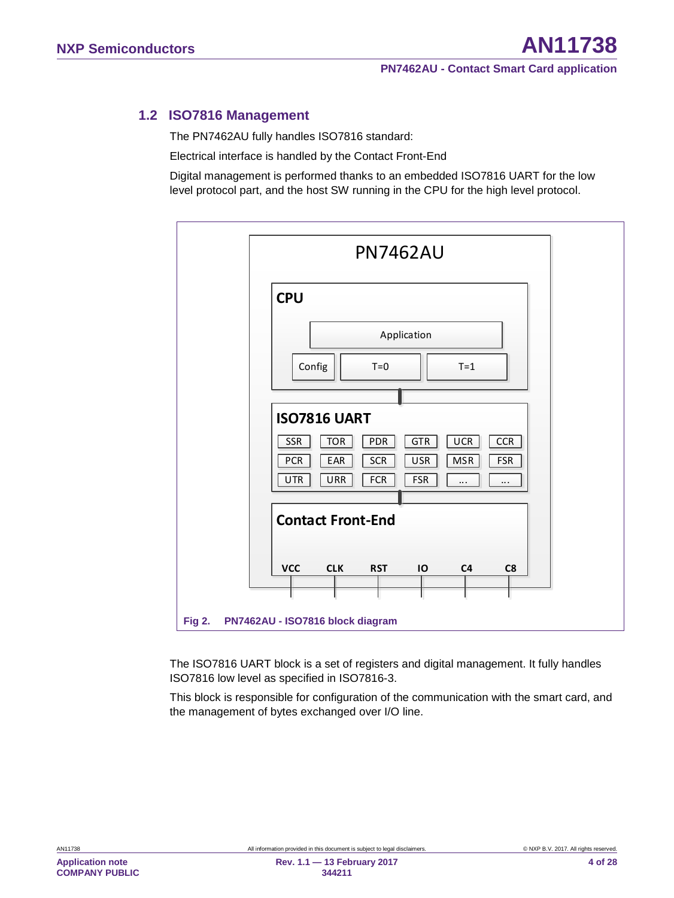### **1.2 ISO7816 Management**

<span id="page-3-1"></span>The PN7462AU fully handles ISO7816 standard:

Electrical interface is handled by the Contact Front-End

Digital management is performed thanks to an embedded ISO7816 UART for the low level protocol part, and the host SW running in the CPU for the high level protocol.



<span id="page-3-0"></span>The ISO7816 UART block is a set of registers and digital management. It fully handles ISO7816 low level as specified in ISO7816-3.

This block is responsible for configuration of the communication with the smart card, and the management of bytes exchanged over I/O line.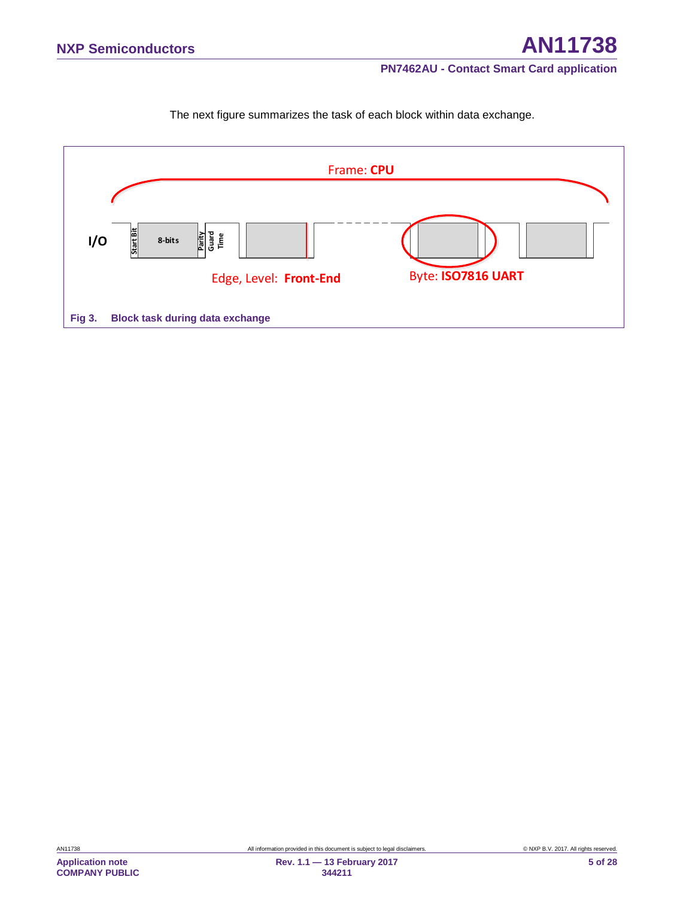The next figure summarizes the task of each block within data exchange.

<span id="page-4-0"></span>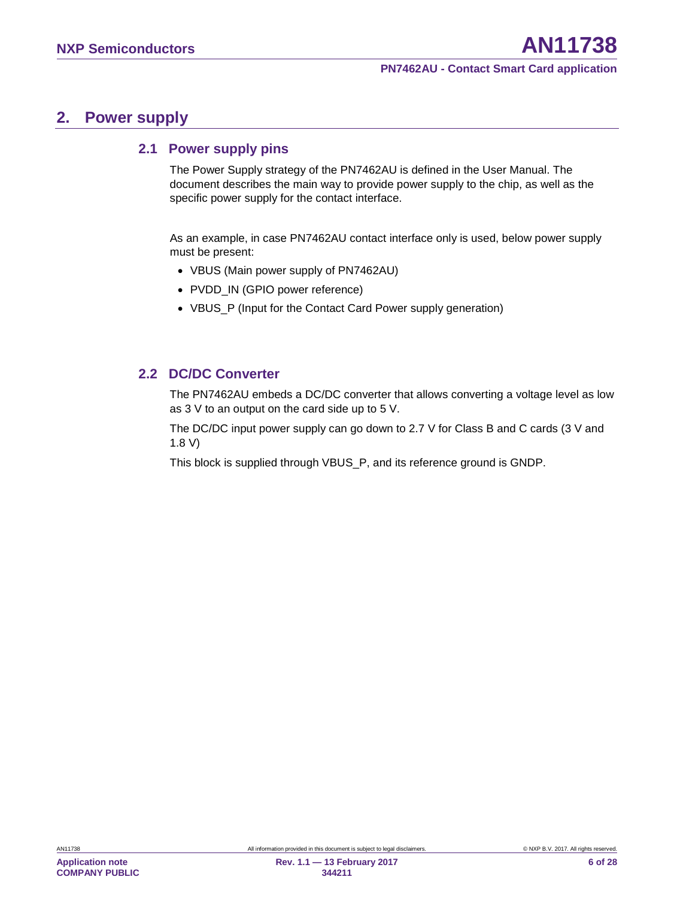### <span id="page-5-0"></span>**2. Power supply**

### <span id="page-5-1"></span>**2.1 Power supply pins**

The Power Supply strategy of the PN7462AU is defined in the User Manual. The document describes the main way to provide power supply to the chip, as well as the specific power supply for the contact interface.

As an example, in case PN7462AU contact interface only is used, below power supply must be present:

- VBUS (Main power supply of PN7462AU)
- PVDD\_IN (GPIO power reference)
- VBUS\_P (Input for the Contact Card Power supply generation)

### <span id="page-5-2"></span>**2.2 DC/DC Converter**

The PN7462AU embeds a DC/DC converter that allows converting a voltage level as low as 3 V to an output on the card side up to 5 V.

The DC/DC input power supply can go down to 2.7 V for Class B and C cards (3 V and 1.8 V)

This block is supplied through VBUS\_P, and its reference ground is GNDP.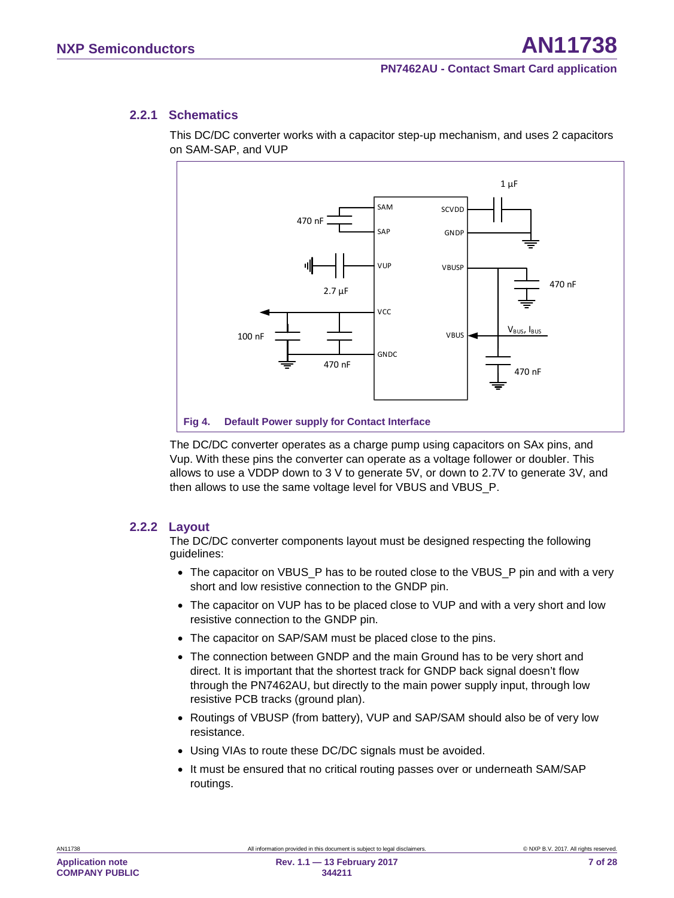#### **2.2.1 Schematics**

<span id="page-6-1"></span>This DC/DC converter works with a capacitor step-up mechanism, and uses 2 capacitors on SAM-SAP, and VUP



<span id="page-6-0"></span>The DC/DC converter operates as a charge pump using capacitors on SAx pins, and Vup. With these pins the converter can operate as a voltage follower or doubler. This allows to use a VDDP down to 3 V to generate 5V, or down to 2.7V to generate 3V, and then allows to use the same voltage level for VBUS and VBUS\_P.

#### **2.2.2 Layout**

<span id="page-6-2"></span>The DC/DC converter components layout must be designed respecting the following guidelines:

- The capacitor on VBUS\_P has to be routed close to the VBUS\_P pin and with a very short and low resistive connection to the GNDP pin.
- The capacitor on VUP has to be placed close to VUP and with a very short and low resistive connection to the GNDP pin.
- The capacitor on SAP/SAM must be placed close to the pins.
- The connection between GNDP and the main Ground has to be very short and direct. It is important that the shortest track for GNDP back signal doesn't flow through the PN7462AU, but directly to the main power supply input, through low resistive PCB tracks (ground plan).
- Routings of VBUSP (from battery), VUP and SAP/SAM should also be of very low resistance.
- Using VIAs to route these DC/DC signals must be avoided.
- It must be ensured that no critical routing passes over or underneath SAM/SAP routings.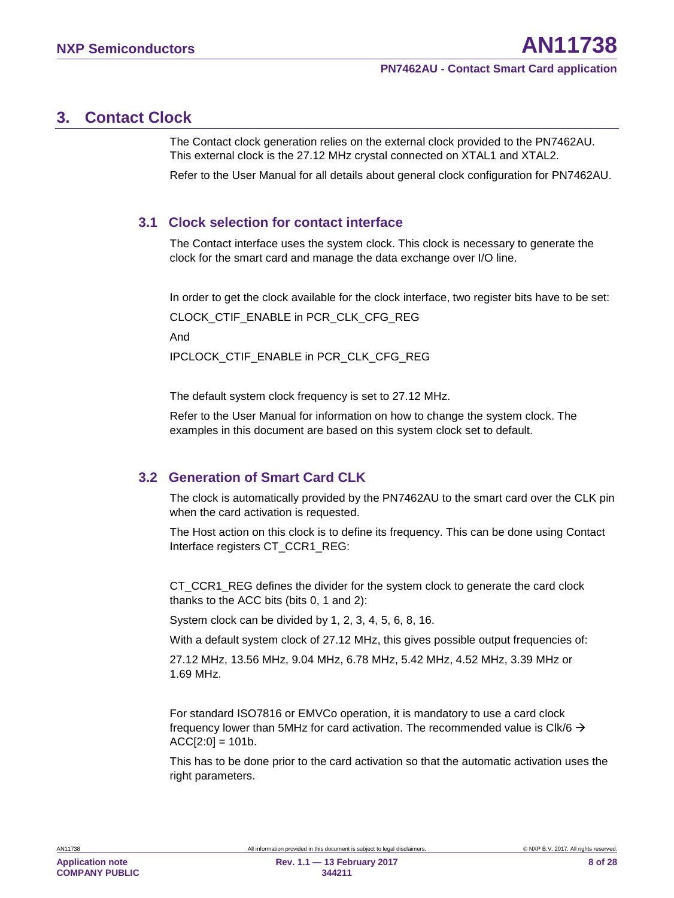# <span id="page-7-1"></span>**3. Contact Clock**

The Contact clock generation relies on the external clock provided to the PN7462AU. This external clock is the 27.12 MHz crystal connected on XTAL1 and XTAL2.

Refer to the User Manual for all details about general clock configuration for PN7462AU.

### <span id="page-7-2"></span>**3.1 Clock selection for contact interface**

The Contact interface uses the system clock. This clock is necessary to generate the clock for the smart card and manage the data exchange over I/O line.

In order to get the clock available for the clock interface, two register bits have to be set:

CLOCK\_CTIF\_ENABLE in PCR\_CLK\_CFG\_REG

And

IPCLOCK\_CTIF\_ENABLE in PCR\_CLK\_CFG\_REG

The default system clock frequency is set to 27.12 MHz.

Refer to the User Manual for information on how to change the system clock. The examples in this document are based on this system clock set to default.

### <span id="page-7-0"></span>**3.2 Generation of Smart Card CLK**

The clock is automatically provided by the PN7462AU to the smart card over the CLK pin when the card activation is requested.

The Host action on this clock is to define its frequency. This can be done using Contact Interface registers CT\_CCR1\_REG:

CT\_CCR1\_REG defines the divider for the system clock to generate the card clock thanks to the ACC bits (bits 0, 1 and 2):

System clock can be divided by 1, 2, 3, 4, 5, 6, 8, 16.

With a default system clock of 27.12 MHz, this gives possible output frequencies of:

27.12 MHz, 13.56 MHz, 9.04 MHz, 6.78 MHz, 5.42 MHz, 4.52 MHz, 3.39 MHz or 1.69 MHz.

For standard ISO7816 or EMVCo operation, it is mandatory to use a card clock frequency lower than 5MHz for card activation. The recommended value is Clk/6  $\rightarrow$  $ACC[2:0] = 101b$ .

This has to be done prior to the card activation so that the automatic activation uses the right parameters.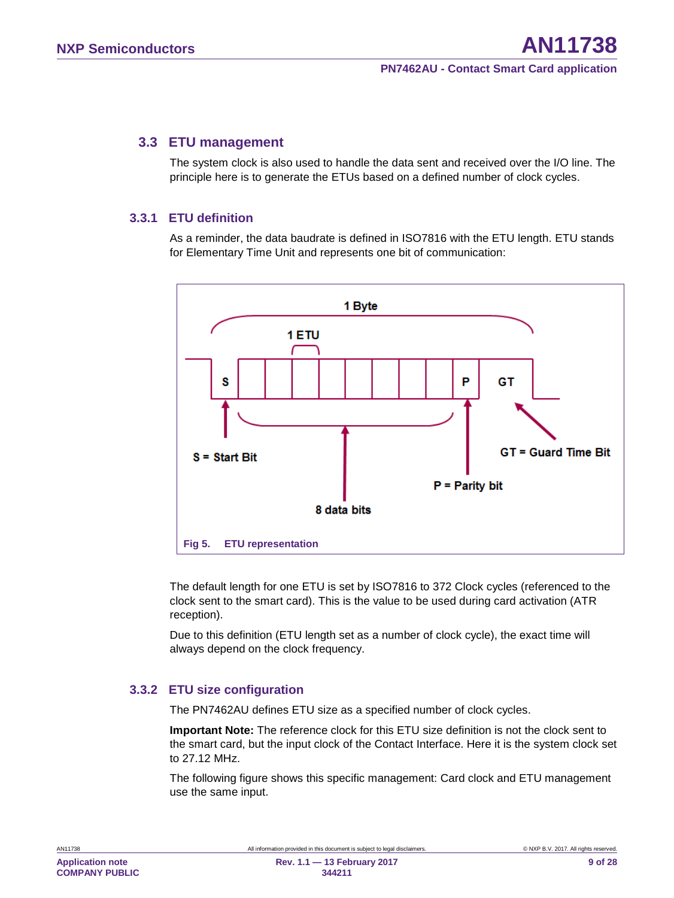#### <span id="page-8-1"></span>**3.3 ETU management**

The system clock is also used to handle the data sent and received over the I/O line. The principle here is to generate the ETUs based on a defined number of clock cycles.

#### **3.3.1 ETU definition**

<span id="page-8-2"></span>As a reminder, the data baudrate is defined in ISO7816 with the ETU length. ETU stands for Elementary Time Unit and represents one bit of communication:



<span id="page-8-0"></span>The default length for one ETU is set by ISO7816 to 372 Clock cycles (referenced to the clock sent to the smart card). This is the value to be used during card activation (ATR reception).

Due to this definition (ETU length set as a number of clock cycle), the exact time will always depend on the clock frequency.

#### **3.3.2 ETU size configuration**

<span id="page-8-3"></span>The PN7462AU defines ETU size as a specified number of clock cycles.

**Important Note:** The reference clock for this ETU size definition is not the clock sent to the smart card, but the input clock of the Contact Interface. Here it is the system clock set to 27.12 MHz.

The following figure shows this specific management: Card clock and ETU management use the same input.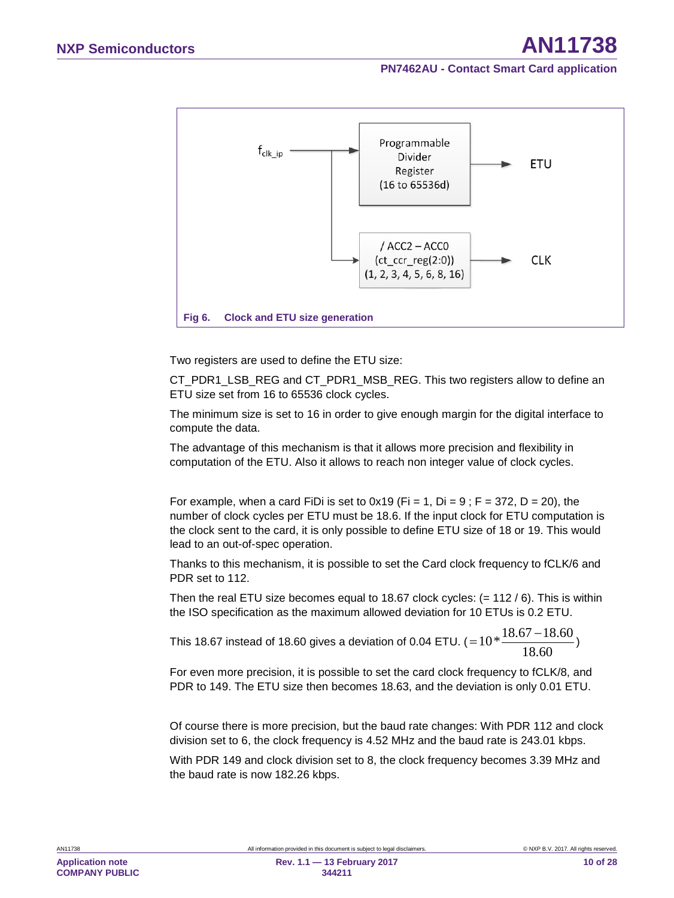

<span id="page-9-0"></span>Two registers are used to define the ETU size:

CT\_PDR1\_LSB\_REG and CT\_PDR1\_MSB\_REG. This two registers allow to define an ETU size set from 16 to 65536 clock cycles.

The minimum size is set to 16 in order to give enough margin for the digital interface to compute the data.

The advantage of this mechanism is that it allows more precision and flexibility in computation of the ETU. Also it allows to reach non integer value of clock cycles.

For example, when a card FiDi is set to  $0x19$  (Fi = 1, Di = 9; F = 372, D = 20), the number of clock cycles per ETU must be 18.6. If the input clock for ETU computation is the clock sent to the card, it is only possible to define ETU size of 18 or 19. This would lead to an out-of-spec operation.

Thanks to this mechanism, it is possible to set the Card clock frequency to fCLK/6 and PDR set to 112.

Then the real ETU size becomes equal to 18.67 clock cycles:  $(= 112 / 6)$ . This is within the ISO specification as the maximum allowed deviation for 10 ETUs is 0.2 ETU.

This 18.67 instead of 18.60 gives a deviation of 0.04 ETU. ( 18.60  $=10*\frac{18.67 - 18.60}{10.58}$ 

For even more precision, it is possible to set the card clock frequency to fCLK/8, and PDR to 149. The ETU size then becomes 18.63, and the deviation is only 0.01 ETU.

Of course there is more precision, but the baud rate changes: With PDR 112 and clock division set to 6, the clock frequency is 4.52 MHz and the baud rate is 243.01 kbps.

With PDR 149 and clock division set to 8, the clock frequency becomes 3.39 MHz and the baud rate is now 182.26 kbps.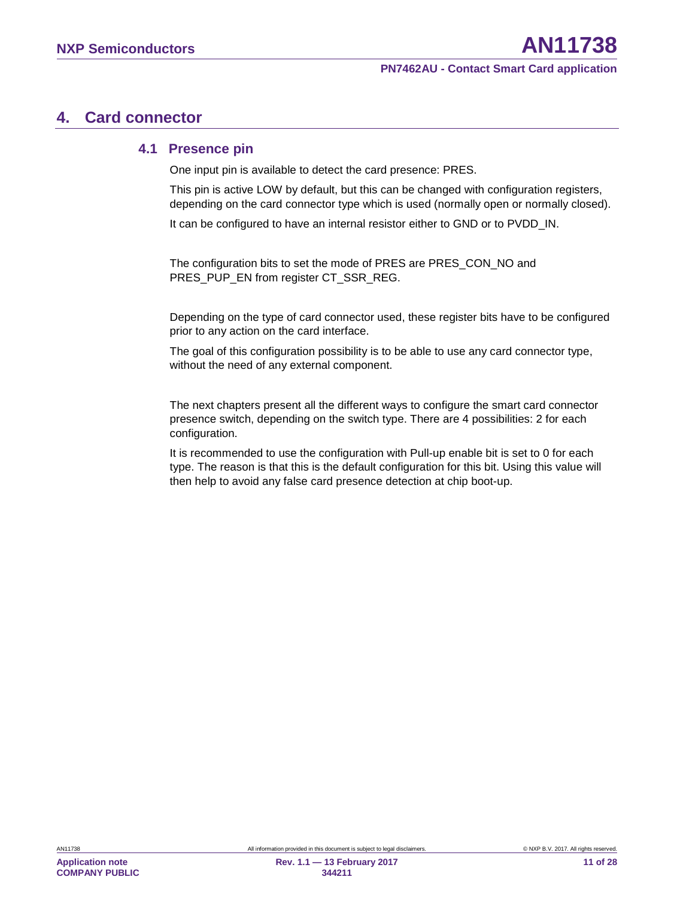# <span id="page-10-0"></span>**4. Card connector**

#### <span id="page-10-1"></span>**4.1 Presence pin**

One input pin is available to detect the card presence: PRES.

This pin is active LOW by default, but this can be changed with configuration registers, depending on the card connector type which is used (normally open or normally closed).

It can be configured to have an internal resistor either to GND or to PVDD IN.

The configuration bits to set the mode of PRES are PRES\_CON\_NO and PRES\_PUP\_EN from register CT\_SSR\_REG.

Depending on the type of card connector used, these register bits have to be configured prior to any action on the card interface.

The goal of this configuration possibility is to be able to use any card connector type, without the need of any external component.

The next chapters present all the different ways to configure the smart card connector presence switch, depending on the switch type. There are 4 possibilities: 2 for each configuration.

It is recommended to use the configuration with Pull-up enable bit is set to 0 for each type. The reason is that this is the default configuration for this bit. Using this value will then help to avoid any false card presence detection at chip boot-up.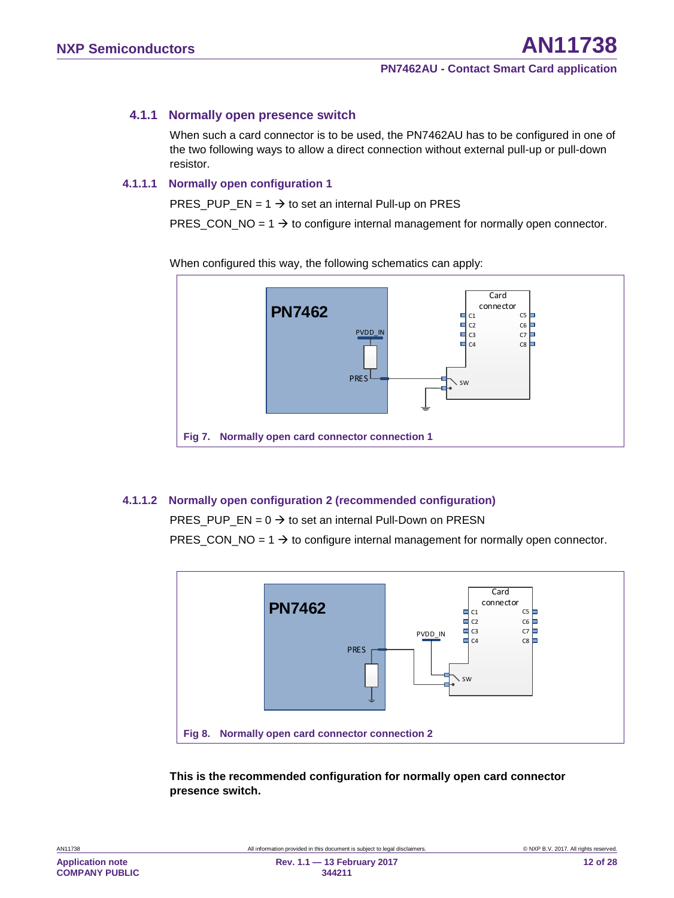### **4.1.1 Normally open presence switch**

<span id="page-11-2"></span>When such a card connector is to be used, the PN7462AU has to be configured in one of the two following ways to allow a direct connection without external pull-up or pull-down resistor.

#### **4.1.1.1 Normally open configuration 1**

<span id="page-11-3"></span>PRES PUP  $EN = 1 \rightarrow$  to set an internal Pull-up on PRES

PRES CON  $NO = 1 \rightarrow$  to configure internal management for normally open connector.

When configured this way, the following schematics can apply:



#### **4.1.1.2 Normally open configuration 2 (recommended configuration)**

<span id="page-11-4"></span><span id="page-11-0"></span>PRES\_PUP\_EN =  $0 \rightarrow$  to set an internal Pull-Down on PRESN

PRES\_CON\_NO =  $1 \rightarrow$  to configure internal management for normally open connector.



<span id="page-11-1"></span>**This is the recommended configuration for normally open card connector presence switch.**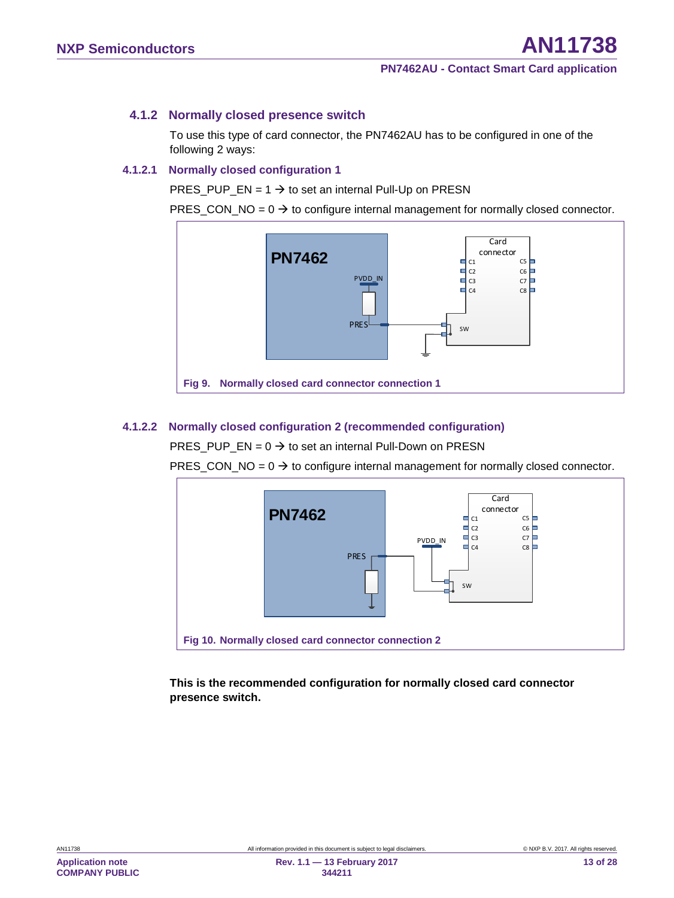#### **4.1.2 Normally closed presence switch**

<span id="page-12-2"></span>To use this type of card connector, the PN7462AU has to be configured in one of the following 2 ways:

#### **4.1.2.1 Normally closed configuration 1**

<span id="page-12-3"></span>PRES\_PUP\_EN =  $1 \rightarrow$  to set an internal Pull-Up on PRESN

PRES CON  $NO = 0 \rightarrow$  to configure internal management for normally closed connector.



#### **4.1.2.2 Normally closed configuration 2 (recommended configuration)**

<span id="page-12-4"></span><span id="page-12-0"></span>PRES\_PUP\_EN =  $0 \rightarrow$  to set an internal Pull-Down on PRESN

PRES\_CON\_NO =  $0 \rightarrow$  to configure internal management for normally closed connector.



<span id="page-12-1"></span>**This is the recommended configuration for normally closed card connector presence switch.**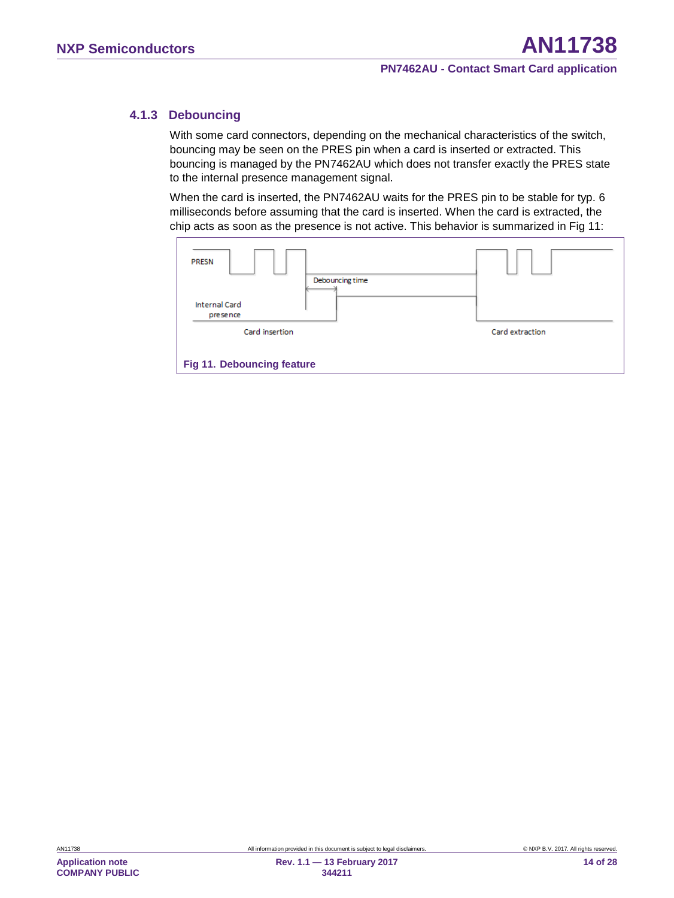### **4.1.3 Debouncing**

<span id="page-13-1"></span>With some card connectors, depending on the mechanical characteristics of the switch, bouncing may be seen on the PRES pin when a card is inserted or extracted. This bouncing is managed by the PN7462AU which does not transfer exactly the PRES state to the internal presence management signal.

When the card is inserted, the PN7462AU waits for the PRES pin to be stable for typ. 6 milliseconds before assuming that the card is inserted. When the card is extracted, the chip acts as soon as the presence is not active. This behavior is summarized in [Fig 11:](#page-13-0)

<span id="page-13-0"></span>

| <b>PRESN</b><br>Debouncing time<br><b>Internal Card</b><br>presence |                 |  |
|---------------------------------------------------------------------|-----------------|--|
| Card insertion                                                      | Card extraction |  |
| <b>Fig 11. Debouncing feature</b>                                   |                 |  |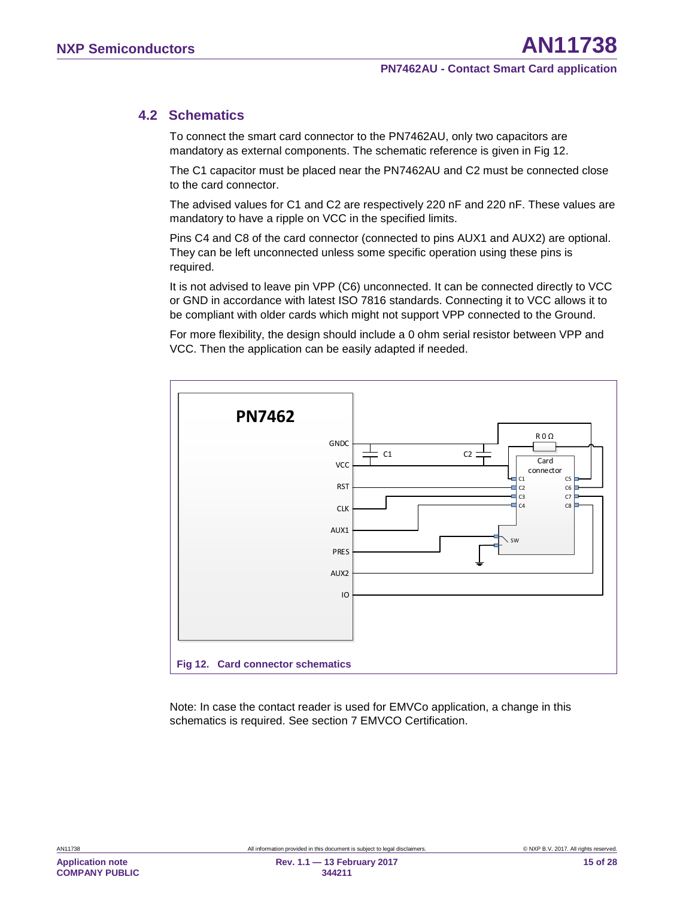### **4.2 Schematics**

<span id="page-14-1"></span>To connect the smart card connector to the PN7462AU, only two capacitors are mandatory as external components. The schematic reference is given in [Fig 12.](#page-14-0)

The C1 capacitor must be placed near the PN7462AU and C2 must be connected close to the card connector.

The advised values for C1 and C2 are respectively 220 nF and 220 nF. These values are mandatory to have a ripple on VCC in the specified limits.

Pins C4 and C8 of the card connector (connected to pins AUX1 and AUX2) are optional. They can be left unconnected unless some specific operation using these pins is required.

It is not advised to leave pin VPP (C6) unconnected. It can be connected directly to VCC or GND in accordance with latest ISO 7816 standards. Connecting it to VCC allows it to be compliant with older cards which might not support VPP connected to the Ground.

For more flexibility, the design should include a 0 ohm serial resistor between VPP and VCC. Then the application can be easily adapted if needed.



<span id="page-14-0"></span>Note: In case the contact reader is used for EMVCo application, a change in this schematics is required. See section [7](#page-19-0) [EMVCO Certification.](#page-19-0)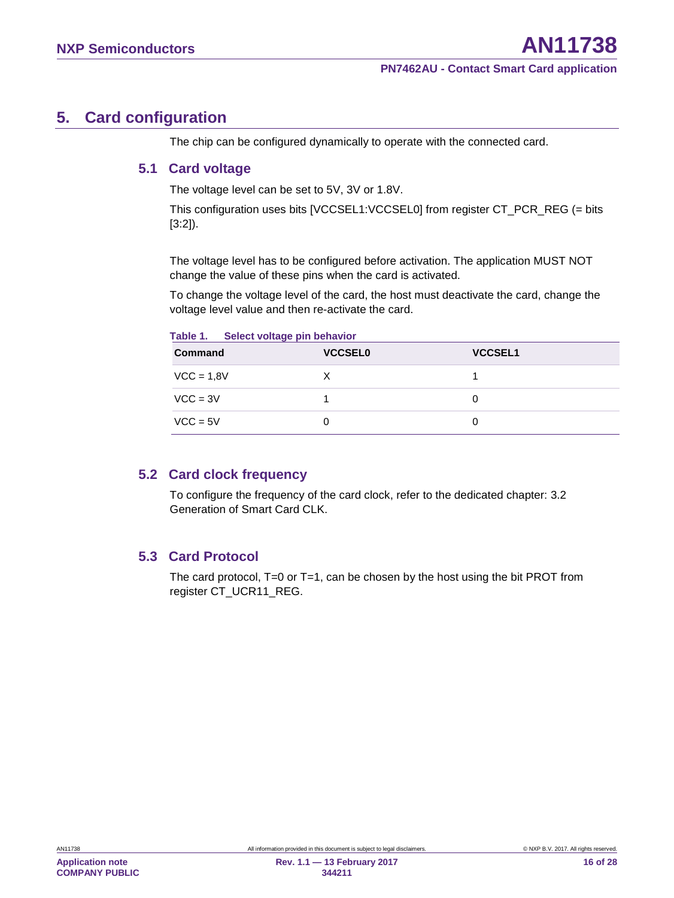# <span id="page-15-1"></span>**5. Card configuration**

<span id="page-15-2"></span>The chip can be configured dynamically to operate with the connected card.

### **5.1 Card voltage**

The voltage level can be set to 5V, 3V or 1.8V.

This configuration uses bits [VCCSEL1:VCCSEL0] from register CT\_PCR\_REG (= bits [3:2]).

The voltage level has to be configured before activation. The application MUST NOT change the value of these pins when the card is activated.

To change the voltage level of the card, the host must deactivate the card, change the voltage level value and then re-activate the card.

<span id="page-15-0"></span>

| <b>Command</b> | <b>VCCSEL0</b> | <b>VCCSEL1</b> |
|----------------|----------------|----------------|
| $VCC = 1,8V$   |                |                |
| $VCC = 3V$     |                |                |
| $VCC = 5V$     |                |                |

### **5.2 Card clock frequency**

<span id="page-15-3"></span>To configure the frequency of the card clock, refer to the dedicated chapter: [3.2](#page-7-0) [Generation of Smart Card CLK.](#page-7-0)

### <span id="page-15-4"></span>**5.3 Card Protocol**

The card protocol,  $T=0$  or  $T=1$ , can be chosen by the host using the bit PROT from register CT\_UCR11\_REG.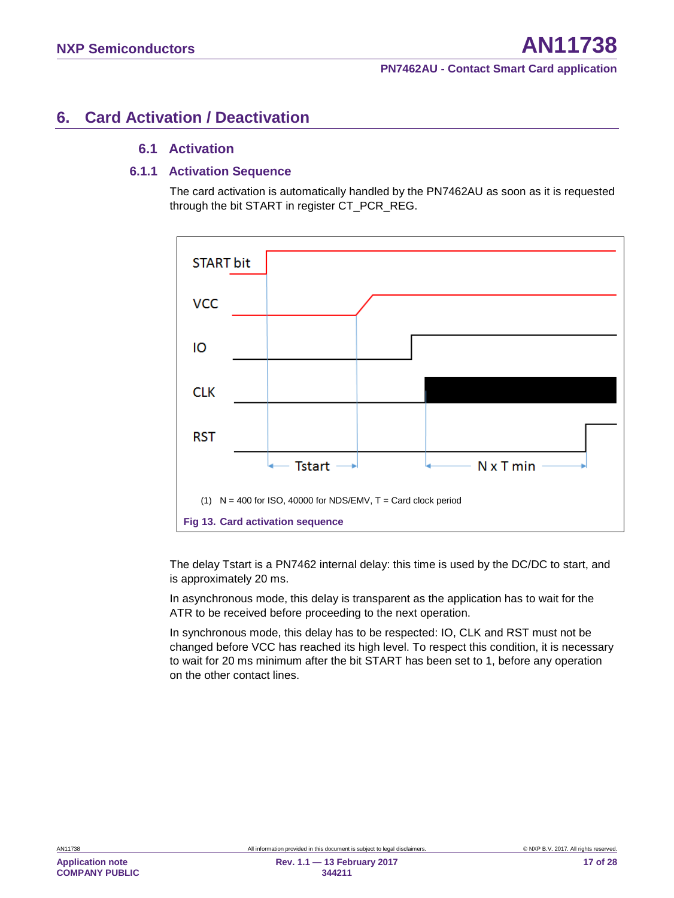# <span id="page-16-1"></span>**6. Card Activation / Deactivation**

### <span id="page-16-2"></span>**6.1 Activation**

#### **6.1.1 Activation Sequence**

<span id="page-16-3"></span>The card activation is automatically handled by the PN7462AU as soon as it is requested through the bit START in register CT\_PCR\_REG.



<span id="page-16-0"></span>The delay Tstart is a PN7462 internal delay: this time is used by the DC/DC to start, and is approximately 20 ms.

In asynchronous mode, this delay is transparent as the application has to wait for the ATR to be received before proceeding to the next operation.

In synchronous mode, this delay has to be respected: IO, CLK and RST must not be changed before VCC has reached its high level. To respect this condition, it is necessary to wait for 20 ms minimum after the bit START has been set to 1, before any operation on the other contact lines.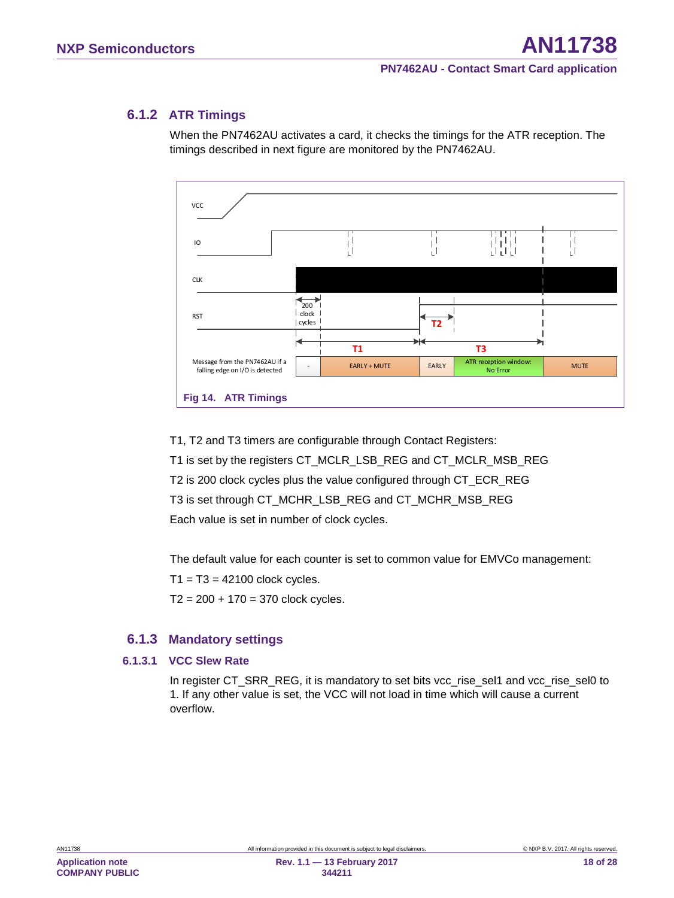### **6.1.2 ATR Timings**

<span id="page-17-1"></span>When the PN7462AU activates a card, it checks the timings for the ATR reception. The timings described in next figure are monitored by the PN7462AU.



<span id="page-17-0"></span>T1, T2 and T3 timers are configurable through Contact Registers: T1 is set by the registers CT\_MCLR\_LSB\_REG and CT\_MCLR\_MSB\_REG T2 is 200 clock cycles plus the value configured through CT\_ECR\_REG T3 is set through CT\_MCHR\_LSB\_REG and CT\_MCHR\_MSB\_REG Each value is set in number of clock cycles.

The default value for each counter is set to common value for EMVCo management:

 $T1 = T3 = 42100$  clock cycles.

<span id="page-17-2"></span> $T2 = 200 + 170 = 370$  clock cycles.

#### **6.1.3 Mandatory settings**

#### **6.1.3.1 VCC Slew Rate**

<span id="page-17-3"></span>In register CT\_SRR\_REG, it is mandatory to set bits vcc\_rise\_sel1 and vcc\_rise\_sel0 to 1. If any other value is set, the VCC will not load in time which will cause a current overflow.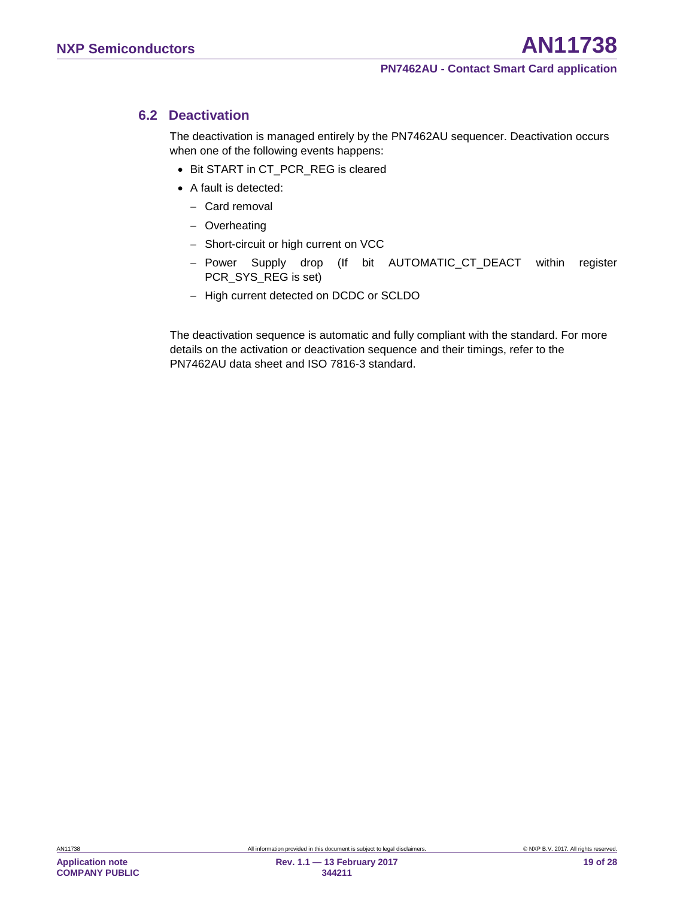### **6.2 Deactivation**

<span id="page-18-0"></span>The deactivation is managed entirely by the PN7462AU sequencer. Deactivation occurs when one of the following events happens:

- Bit START in CT\_PCR\_REG is cleared
- A fault is detected:
	- − Card removal
	- − Overheating
	- − Short-circuit or high current on VCC
	- − Power Supply drop (If bit AUTOMATIC\_CT\_DEACT within register PCR\_SYS\_REG is set)
	- − High current detected on DCDC or SCLDO

The deactivation sequence is automatic and fully compliant with the standard. For more details on the activation or deactivation sequence and their timings, refer to the PN7462AU data sheet and ISO 7816-3 standard.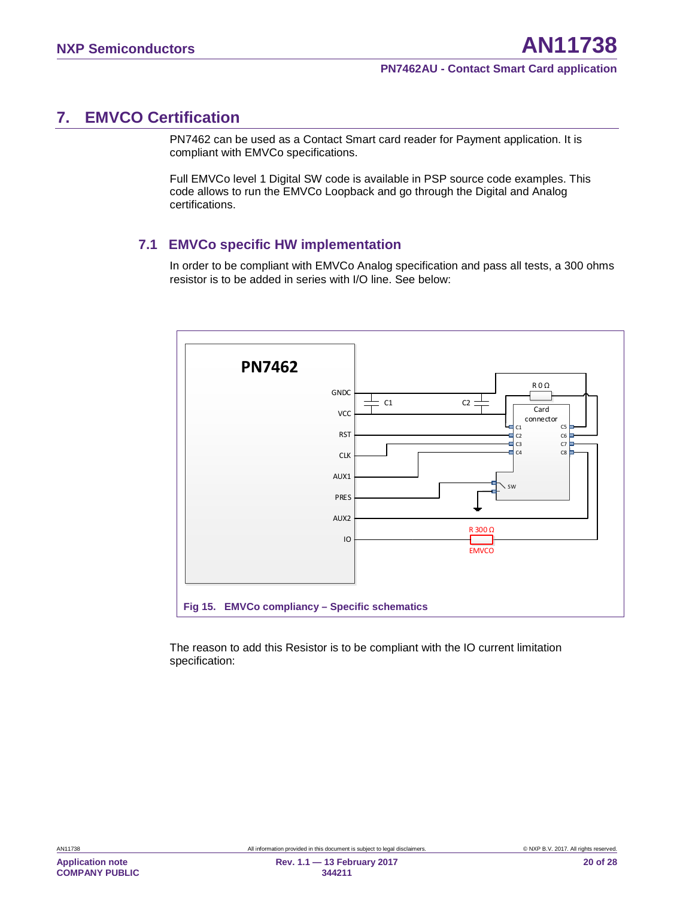# <span id="page-19-0"></span>**7. EMVCO Certification**

PN7462 can be used as a Contact Smart card reader for Payment application. It is compliant with EMVCo specifications.

Full EMVCo level 1 Digital SW code is available in PSP source code examples. This code allows to run the EMVCo Loopback and go through the Digital and Analog certifications.

### <span id="page-19-2"></span>**7.1 EMVCo specific HW implementation**

In order to be compliant with EMVCo Analog specification and pass all tests, a 300 ohms resistor is to be added in series with I/O line. See below:



<span id="page-19-1"></span>The reason to add this Resistor is to be compliant with the IO current limitation specification: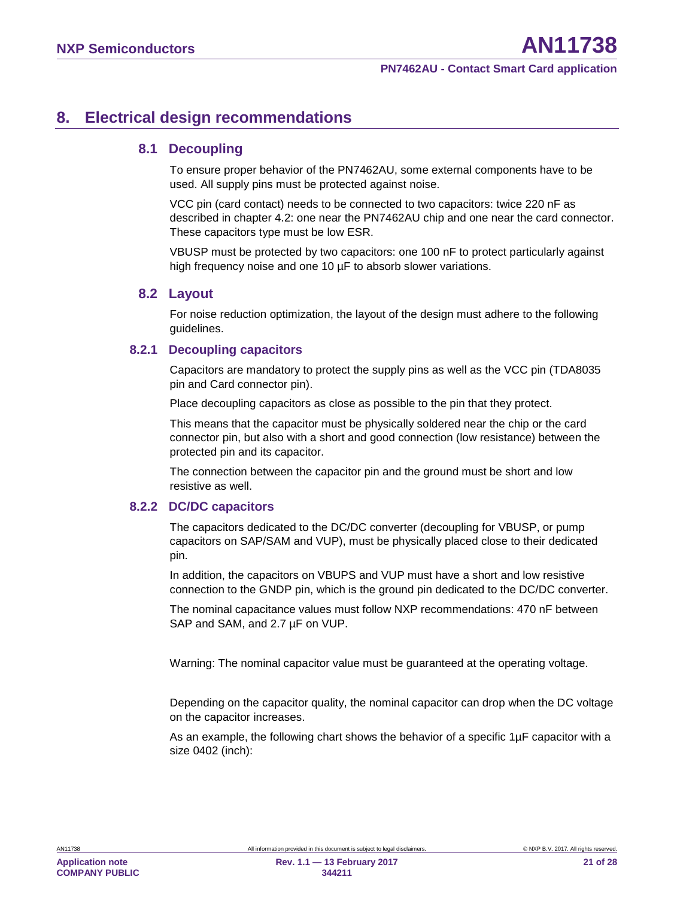# <span id="page-20-0"></span>**8. Electrical design recommendations**

### <span id="page-20-1"></span>**8.1 Decoupling**

To ensure proper behavior of the PN7462AU, some external components have to be used. All supply pins must be protected against noise.

VCC pin (card contact) needs to be connected to two capacitors: twice 220 nF as described in chapter [4.2:](#page-14-1) one near the PN7462AU chip and one near the card connector. These capacitors type must be low ESR.

VBUSP must be protected by two capacitors: one 100 nF to protect particularly against high frequency noise and one 10  $\mu$ F to absorb slower variations.

#### <span id="page-20-2"></span>**8.2 Layout**

For noise reduction optimization, the layout of the design must adhere to the following guidelines.

#### **8.2.1 Decoupling capacitors**

<span id="page-20-3"></span>Capacitors are mandatory to protect the supply pins as well as the VCC pin (TDA8035 pin and Card connector pin).

Place decoupling capacitors as close as possible to the pin that they protect.

This means that the capacitor must be physically soldered near the chip or the card connector pin, but also with a short and good connection (low resistance) between the protected pin and its capacitor.

The connection between the capacitor pin and the ground must be short and low resistive as well.

#### **8.2.2 DC/DC capacitors**

<span id="page-20-4"></span>The capacitors dedicated to the DC/DC converter (decoupling for VBUSP, or pump capacitors on SAP/SAM and VUP), must be physically placed close to their dedicated pin.

In addition, the capacitors on VBUPS and VUP must have a short and low resistive connection to the GNDP pin, which is the ground pin dedicated to the DC/DC converter.

The nominal capacitance values must follow NXP recommendations: 470 nF between SAP and SAM, and 2.7 µF on VUP.

Warning: The nominal capacitor value must be guaranteed at the operating voltage.

Depending on the capacitor quality, the nominal capacitor can drop when the DC voltage on the capacitor increases.

As an example, the following chart shows the behavior of a specific  $1\mu$ F capacitor with a size 0402 (inch):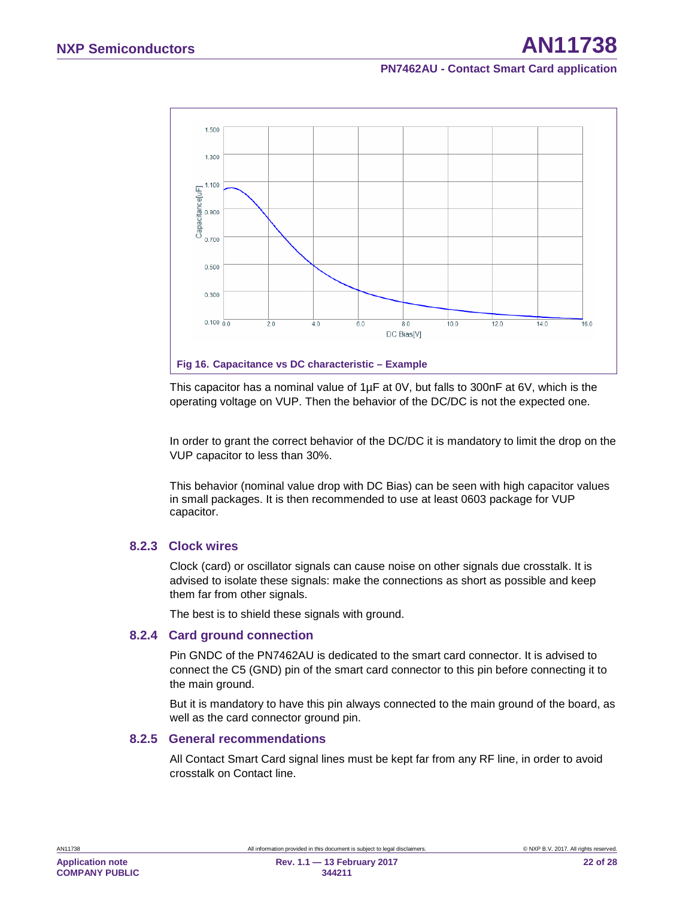

<span id="page-21-0"></span>This capacitor has a nominal value of 1µF at 0V, but falls to 300nF at 6V, which is the operating voltage on VUP. Then the behavior of the DC/DC is not the expected one.

In order to grant the correct behavior of the DC/DC it is mandatory to limit the drop on the VUP capacitor to less than 30%.

This behavior (nominal value drop with DC Bias) can be seen with high capacitor values in small packages. It is then recommended to use at least 0603 package for VUP capacitor.

#### **8.2.3 Clock wires**

<span id="page-21-1"></span>Clock (card) or oscillator signals can cause noise on other signals due crosstalk. It is advised to isolate these signals: make the connections as short as possible and keep them far from other signals.

<span id="page-21-2"></span>The best is to shield these signals with ground.

#### **8.2.4 Card ground connection**

Pin GNDC of the PN7462AU is dedicated to the smart card connector. It is advised to connect the C5 (GND) pin of the smart card connector to this pin before connecting it to the main ground.

But it is mandatory to have this pin always connected to the main ground of the board, as well as the card connector ground pin.

#### **8.2.5 General recommendations**

<span id="page-21-3"></span>All Contact Smart Card signal lines must be kept far from any RF line, in order to avoid crosstalk on Contact line.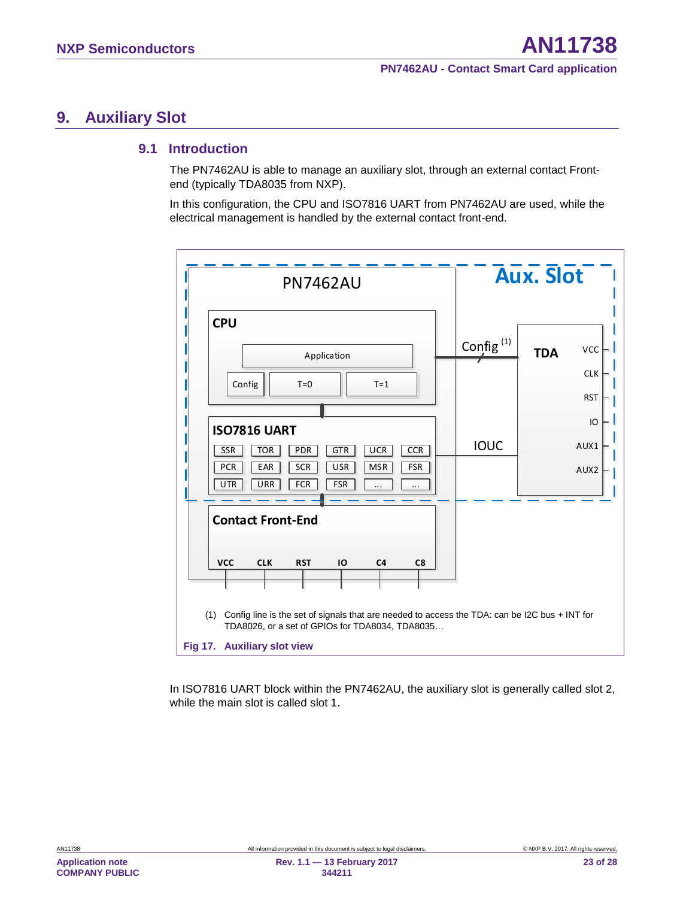# <span id="page-22-1"></span>**9. Auxiliary Slot**

### <span id="page-22-2"></span>**9.1 Introduction**

The PN7462AU is able to manage an auxiliary slot, through an external contact Frontend (typically TDA8035 from NXP).

In this configuration, the CPU and ISO7816 UART from PN7462AU are used, while the electrical management is handled by the external contact front-end.



<span id="page-22-0"></span>In ISO7816 UART block within the PN7462AU, the auxiliary slot is generally called slot 2, while the main slot is called slot 1.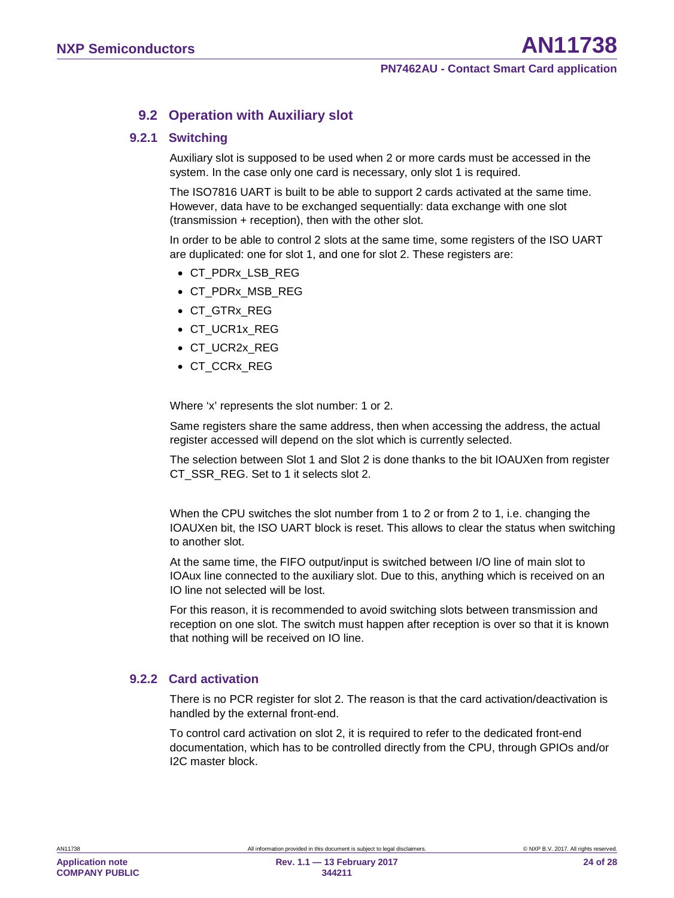### <span id="page-23-0"></span>**9.2 Operation with Auxiliary slot**

#### **9.2.1 Switching**

<span id="page-23-1"></span>Auxiliary slot is supposed to be used when 2 or more cards must be accessed in the system. In the case only one card is necessary, only slot 1 is required.

The ISO7816 UART is built to be able to support 2 cards activated at the same time. However, data have to be exchanged sequentially: data exchange with one slot (transmission + reception), then with the other slot.

In order to be able to control 2 slots at the same time, some registers of the ISO UART are duplicated: one for slot 1, and one for slot 2. These registers are:

- CT\_PDRx\_LSB\_REG
- CT\_PDRx\_MSB\_REG
- CT\_GTRx\_REG
- CT\_UCR1x\_REG
- CT\_UCR2x\_REG
- CT\_CCRx\_REG

Where 'x' represents the slot number: 1 or 2.

Same registers share the same address, then when accessing the address, the actual register accessed will depend on the slot which is currently selected.

The selection between Slot 1 and Slot 2 is done thanks to the bit IOAUXen from register CT\_SSR\_REG. Set to 1 it selects slot 2.

When the CPU switches the slot number from 1 to 2 or from 2 to 1, i.e. changing the IOAUXen bit, the ISO UART block is reset. This allows to clear the status when switching to another slot.

At the same time, the FIFO output/input is switched between I/O line of main slot to IOAux line connected to the auxiliary slot. Due to this, anything which is received on an IO line not selected will be lost.

For this reason, it is recommended to avoid switching slots between transmission and reception on one slot. The switch must happen after reception is over so that it is known that nothing will be received on IO line.

#### **9.2.2 Card activation**

<span id="page-23-2"></span>There is no PCR register for slot 2. The reason is that the card activation/deactivation is handled by the external front-end.

To control card activation on slot 2, it is required to refer to the dedicated front-end documentation, which has to be controlled directly from the CPU, through GPIOs and/or I2C master block.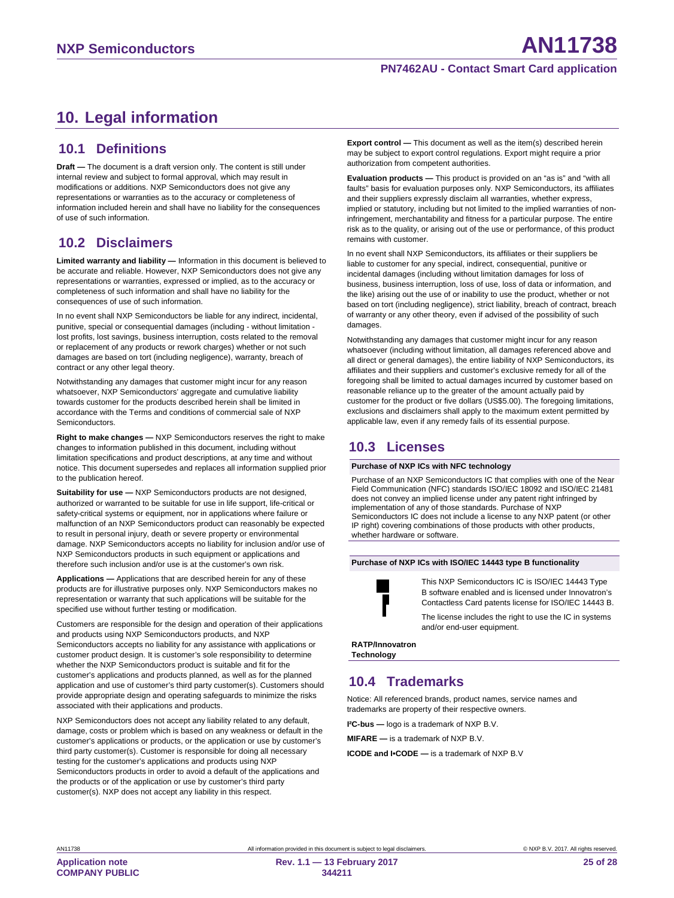# <span id="page-24-0"></span>**10. Legal information**

### <span id="page-24-1"></span>**10.1 Definitions**

**Draft —** The document is a draft version only. The content is still under internal review and subject to formal approval, which may result in modifications or additions. NXP Semiconductors does not give any representations or warranties as to the accuracy or completeness of information included herein and shall have no liability for the consequences of use of such information.

### <span id="page-24-2"></span>**10.2 Disclaimers**

**Limited warranty and liability —** Information in this document is believed to be accurate and reliable. However, NXP Semiconductors does not give any representations or warranties, expressed or implied, as to the accuracy or completeness of such information and shall have no liability for the consequences of use of such information.

In no event shall NXP Semiconductors be liable for any indirect, incidental, punitive, special or consequential damages (including - without limitation lost profits, lost savings, business interruption, costs related to the removal or replacement of any products or rework charges) whether or not such damages are based on tort (including negligence), warranty, breach of contract or any other legal theory.

Notwithstanding any damages that customer might incur for any reason whatsoever, NXP Semiconductors' aggregate and cumulative liability towards customer for the products described herein shall be limited in accordance with the Terms and conditions of commercial sale of NXP Semiconductors.

**Right to make changes —** NXP Semiconductors reserves the right to make changes to information published in this document, including without limitation specifications and product descriptions, at any time and without notice. This document supersedes and replaces all information supplied prior to the publication hereof.

**Suitability for use —** NXP Semiconductors products are not designed, authorized or warranted to be suitable for use in life support, life-critical or safety-critical systems or equipment, nor in applications where failure or malfunction of an NXP Semiconductors product can reasonably be expected to result in personal injury, death or severe property or environmental damage. NXP Semiconductors accepts no liability for inclusion and/or use of NXP Semiconductors products in such equipment or applications and therefore such inclusion and/or use is at the customer's own risk.

**Applications —** Applications that are described herein for any of these products are for illustrative purposes only. NXP Semiconductors makes no representation or warranty that such applications will be suitable for the specified use without further testing or modification.

Customers are responsible for the design and operation of their applications and products using NXP Semiconductors products, and NXP Semiconductors accepts no liability for any assistance with applications or customer product design. It is customer's sole responsibility to determine whether the NXP Semiconductors product is suitable and fit for the customer's applications and products planned, as well as for the planned application and use of customer's third party customer(s). Customers should provide appropriate design and operating safeguards to minimize the risks associated with their applications and products.

NXP Semiconductors does not accept any liability related to any default, damage, costs or problem which is based on any weakness or default in the customer's applications or products, or the application or use by customer's third party customer(s). Customer is responsible for doing all necessary testing for the customer's applications and products using NXP Semiconductors products in order to avoid a default of the applications and the products or of the application or use by customer's third party customer(s). NXP does not accept any liability in this respect.

**Export control –** This document as well as the item(s) described herein may be subject to export control regulations. Export might require a prior authorization from competent authorities.

**Evaluation products —** This product is provided on an "as is" and "with all faults" basis for evaluation purposes only. NXP Semiconductors, its affiliates and their suppliers expressly disclaim all warranties, whether express, implied or statutory, including but not limited to the implied warranties of noninfringement, merchantability and fitness for a particular purpose. The entire risk as to the quality, or arising out of the use or performance, of this product remains with customer.

In no event shall NXP Semiconductors, its affiliates or their suppliers be liable to customer for any special, indirect, consequential, punitive or incidental damages (including without limitation damages for loss of business, business interruption, loss of use, loss of data or information, and the like) arising out the use of or inability to use the product, whether or not based on tort (including negligence), strict liability, breach of contract, breach of warranty or any other theory, even if advised of the possibility of such damages.

Notwithstanding any damages that customer might incur for any reason whatsoever (including without limitation, all damages referenced above and all direct or general damages), the entire liability of NXP Semiconductors, its affiliates and their suppliers and customer's exclusive remedy for all of the foregoing shall be limited to actual damages incurred by customer based on reasonable reliance up to the greater of the amount actually paid by customer for the product or five dollars (US\$5.00). The foregoing limitations, exclusions and disclaimers shall apply to the maximum extent permitted by applicable law, even if any remedy fails of its essential purpose.

### <span id="page-24-3"></span>**10.3 Licenses**

#### **Purchase of NXP ICs with NFC technology**

Purchase of an NXP Semiconductors IC that complies with one of the Near Field Communication (NFC) standards ISO/IEC 18092 and ISO/IEC 21481 does not convey an implied license under any patent right infringed by implementation of any of those standards. Purchase of NXP Semiconductors IC does not include a license to any NXP patent (or other IP right) covering combinations of those products with other products, whether hardware or software.

#### **Purchase of NXP ICs with ISO/IEC 14443 type B functionality**



This NXP Semiconductors IC is ISO/IEC 14443 Type B software enabled and is licensed under Innovatron's Contactless Card patents license for ISO/IEC 14443 B.

The license includes the right to use the IC in systems and/or end-user equipment.

**RATP/Innovatron Technology**

### <span id="page-24-4"></span>**10.4 Trademarks**

Notice: All referenced brands, product names, service names and trademarks are property of their respective owners.

**I²C-bus —** logo is a trademark of NXP B.V.

**MIFARE —** is a trademark of NXP B.V.

**ICODE and I•CODE —** is a trademark of NXP B.V

**Application note COMPANY PUBLIC**

**344211**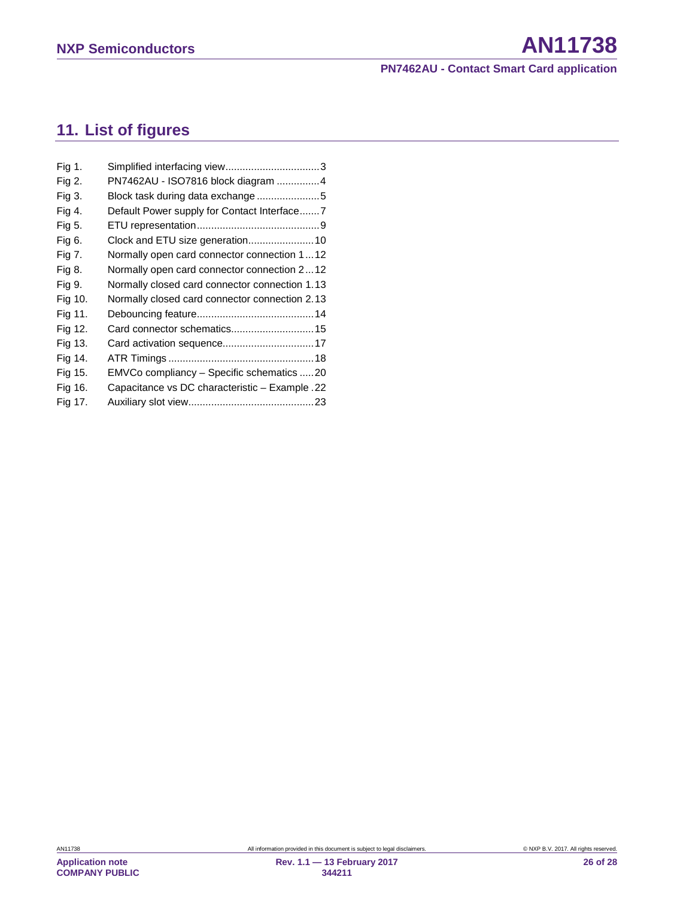# <span id="page-25-0"></span>**11. List of figures**

| Fig 1.  |                                                |
|---------|------------------------------------------------|
| Fig 2.  | PN7462AU - ISO7816 block diagram 4             |
| Fig 3.  | Block task during data exchange5               |
| Fig 4.  | Default Power supply for Contact Interface7    |
| Fig 5.  |                                                |
| Fig 6.  | Clock and ETU size generation 10               |
| Fig 7.  | Normally open card connector connection 112    |
| Fig 8.  | Normally open card connector connection 212    |
| Fig 9.  | Normally closed card connector connection 1.13 |
| Fig 10. | Normally closed card connector connection 2.13 |
| Fig 11. |                                                |
| Fig 12. | Card connector schematics 15                   |
| Fig 13. |                                                |
| Fig 14. |                                                |
| Fig 15. | EMVCo compliancy - Specific schematics 20      |
| Fig 16. | Capacitance vs DC characteristic - Example .22 |
| Fig 17. |                                                |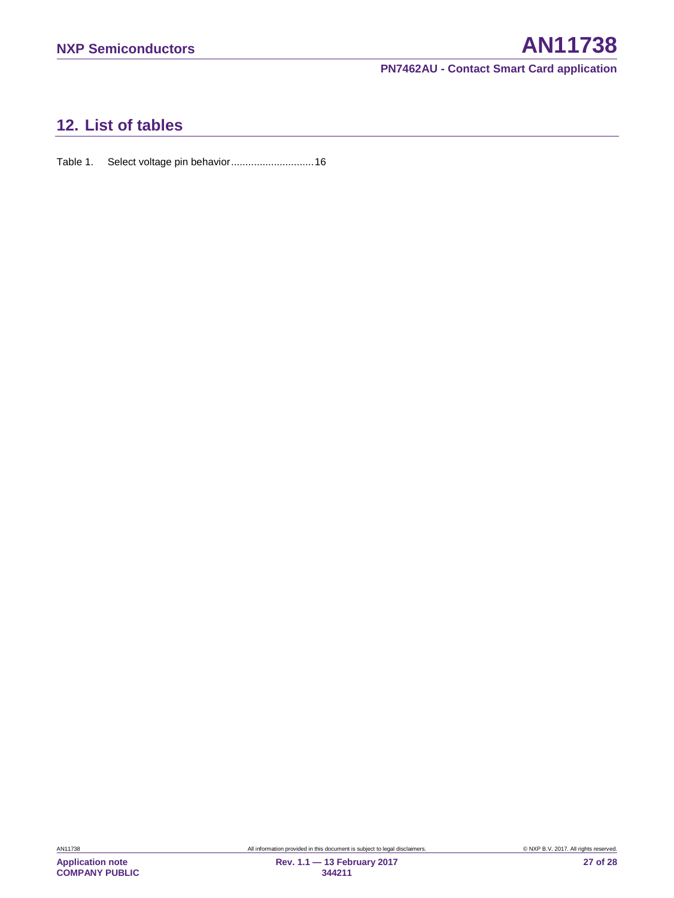# <span id="page-26-0"></span>**12. List of tables**

Table 1. [Select voltage pin behavior.............................16](#page-15-0)